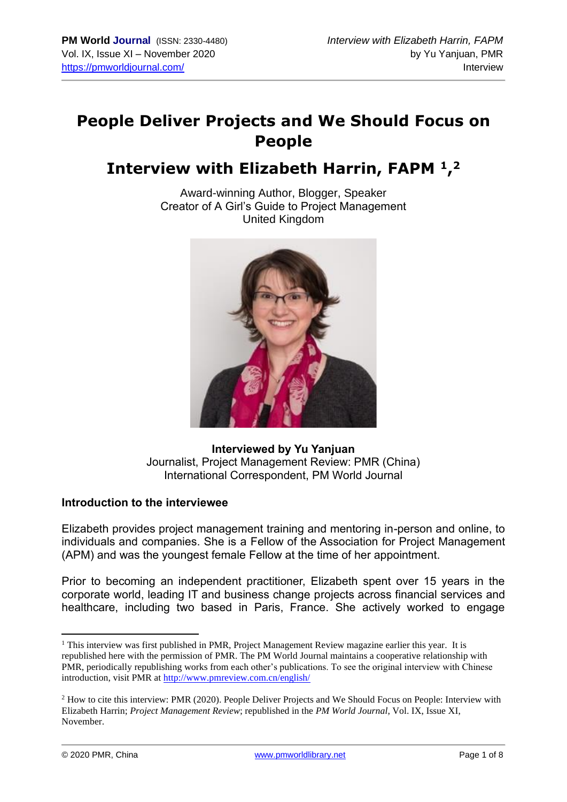# **People Deliver Projects and We Should Focus on People**

# **Interview with Elizabeth Harrin, FAPM <sup>1</sup> , 2**

Award-winning Author, Blogger, Speaker Creator of A Girl's Guide to Project Management United Kingdom



# **Interviewed by Yu Yanjuan** Journalist, Project Management Review: PMR (China) International Correspondent, PM World Journal

# **Introduction to the interviewee**

Elizabeth provides project management training and mentoring in-person and online, to individuals and companies. She is a Fellow of the Association for Project Management (APM) and was the youngest female Fellow at the time of her appointment.

Prior to becoming an independent practitioner, Elizabeth spent over 15 years in the corporate world, leading IT and business change projects across financial services and healthcare, including two based in Paris, France. She actively worked to engage

<sup>&</sup>lt;sup>1</sup> This interview was first published in PMR, Project Management Review magazine earlier this year. It is republished here with the permission of PMR. The PM World Journal maintains a cooperative relationship with PMR, periodically republishing works from each other's publications. To see the original interview with Chinese introduction, visit PMR at<http://www.pmreview.com.cn/english/>

<sup>2</sup> How to cite this interview: PMR (2020). People Deliver Projects and We Should Focus on People: Interview with Elizabeth Harrin; *Project Management Review*; republished in the *PM World Journal*, Vol. IX, Issue XI, November.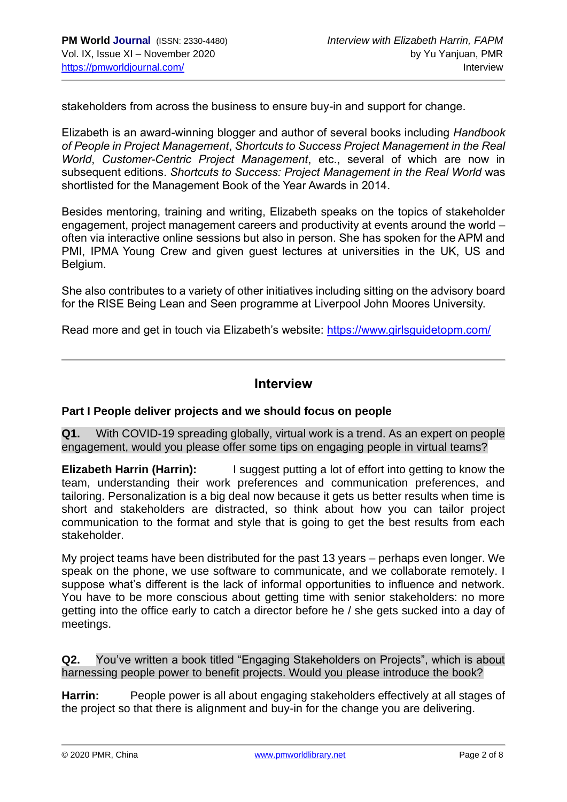stakeholders from across the business to ensure buy-in and support for change.

Elizabeth is an award-winning blogger and author of several books including *Handbook of People in Project Management*, *Shortcuts to Success Project Management in the Real World*, *Customer-Centric Project Management*, etc., several of which are now in subsequent editions. *Shortcuts to Success: Project Management in the Real World* was shortlisted for the Management Book of the Year Awards in 2014.

Besides mentoring, training and writing, Elizabeth speaks on the topics of stakeholder engagement, project management careers and productivity at events around the world – often via interactive online sessions but also in person. She has spoken for the APM and PMI, IPMA Young Crew and given guest lectures at universities in the UK, US and Belgium.

She also contributes to a variety of other initiatives including sitting on the advisory board for the RISE Being Lean and Seen programme at Liverpool John Moores University.

Read more and get in touch via Elizabeth's website:<https://www.girlsguidetopm.com/>

# **Interview**

#### **Part I People deliver projects and we should focus on people**

**Q1.** With COVID-19 spreading globally, virtual work is a trend. As an expert on people engagement, would you please offer some tips on engaging people in virtual teams?

**Elizabeth Harrin (Harrin):** I suggest putting a lot of effort into getting to know the team, understanding their work preferences and communication preferences, and tailoring. Personalization is a big deal now because it gets us better results when time is short and stakeholders are distracted, so think about how you can tailor project communication to the format and style that is going to get the best results from each stakeholder.

My project teams have been distributed for the past 13 years – perhaps even longer. We speak on the phone, we use software to communicate, and we collaborate remotely. I suppose what's different is the lack of informal opportunities to influence and network. You have to be more conscious about getting time with senior stakeholders: no more getting into the office early to catch a director before he / she gets sucked into a day of meetings.

**Q2.** You've written a book titled "Engaging Stakeholders on Projects", which is about harnessing people power to benefit projects. Would you please introduce the book?

**Harrin:** People power is all about engaging stakeholders effectively at all stages of the project so that there is alignment and buy-in for the change you are delivering.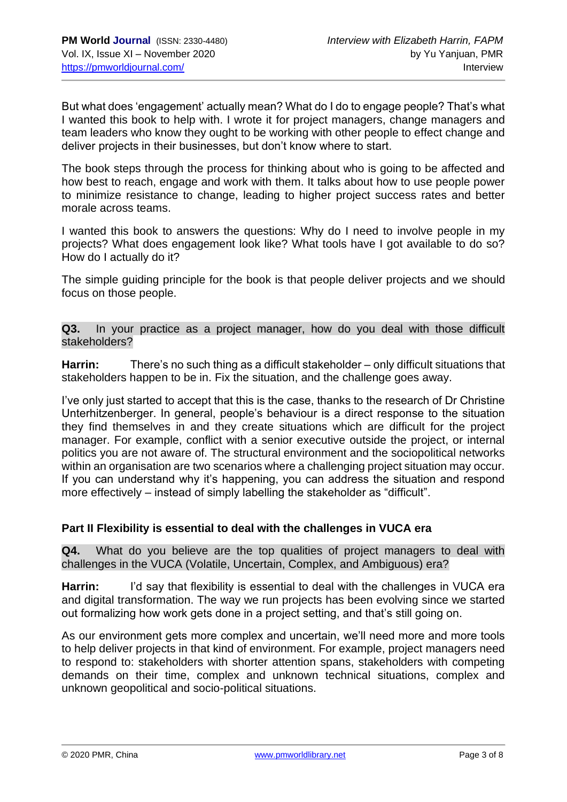But what does 'engagement' actually mean? What do I do to engage people? That's what I wanted this book to help with. I wrote it for project managers, change managers and team leaders who know they ought to be working with other people to effect change and deliver projects in their businesses, but don't know where to start.

The book steps through the process for thinking about who is going to be affected and how best to reach, engage and work with them. It talks about how to use people power to minimize resistance to change, leading to higher project success rates and better morale across teams.

I wanted this book to answers the questions: Why do I need to involve people in my projects? What does engagement look like? What tools have I got available to do so? How do I actually do it?

The simple guiding principle for the book is that people deliver projects and we should focus on those people.

**Q3.** In your practice as a project manager, how do you deal with those difficult stakeholders?

**Harrin:** There's no such thing as a difficult stakeholder – only difficult situations that stakeholders happen to be in. Fix the situation, and the challenge goes away.

I've only just started to accept that this is the case, thanks to the research of Dr Christine Unterhitzenberger. In general, people's behaviour is a direct response to the situation they find themselves in and they create situations which are difficult for the project manager. For example, conflict with a senior executive outside the project, or internal politics you are not aware of. The structural environment and the sociopolitical networks within an organisation are two scenarios where a challenging project situation may occur. If you can understand why it's happening, you can address the situation and respond more effectively – instead of simply labelling the stakeholder as "difficult".

# **Part II Flexibility is essential to deal with the challenges in VUCA era**

**Q4.** What do you believe are the top qualities of project managers to deal with challenges in the VUCA (Volatile, Uncertain, Complex, and Ambiguous) era?

**Harrin:** I'd say that flexibility is essential to deal with the challenges in VUCA era and digital transformation. The way we run projects has been evolving since we started out formalizing how work gets done in a project setting, and that's still going on.

As our environment gets more complex and uncertain, we'll need more and more tools to help deliver projects in that kind of environment. For example, project managers need to respond to: stakeholders with shorter attention spans, stakeholders with competing demands on their time, complex and unknown technical situations, complex and unknown geopolitical and socio-political situations.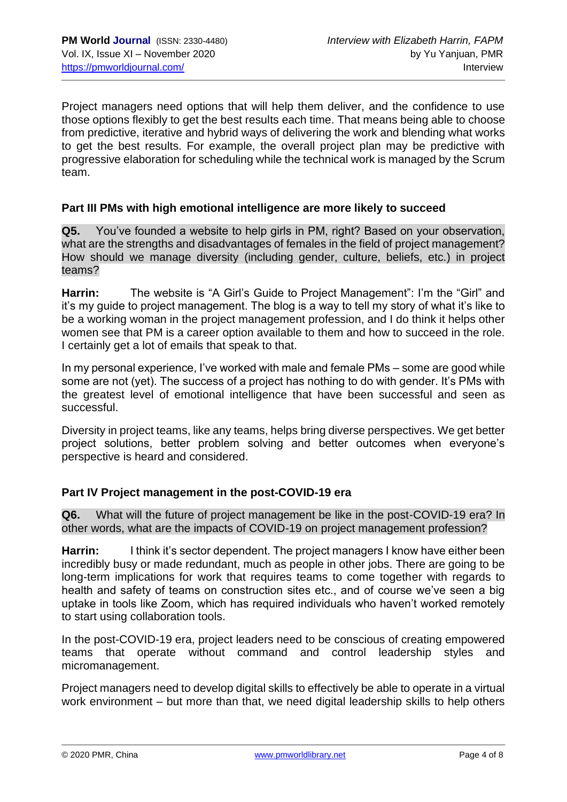Project managers need options that will help them deliver, and the confidence to use those options flexibly to get the best results each time. That means being able to choose from predictive, iterative and hybrid ways of delivering the work and blending what works to get the best results. For example, the overall project plan may be predictive with progressive elaboration for scheduling while the technical work is managed by the Scrum team.

#### **Part III PMs with high emotional intelligence are more likely to succeed**

**Q5.** You've founded a website to help girls in PM, right? Based on your observation, what are the strengths and disadvantages of females in the field of project management? How should we manage diversity (including gender, culture, beliefs, etc.) in project teams?

**Harrin:** The website is "A Girl's Guide to Project Management": I'm the "Girl" and it's my guide to project management. The blog is a way to tell my story of what it's like to be a working woman in the project management profession, and I do think it helps other women see that PM is a career option available to them and how to succeed in the role. I certainly get a lot of emails that speak to that.

In my personal experience, I've worked with male and female PMs – some are good while some are not (yet). The success of a project has nothing to do with gender. It's PMs with the greatest level of emotional intelligence that have been successful and seen as successful.

Diversity in project teams, like any teams, helps bring diverse perspectives. We get better project solutions, better problem solving and better outcomes when everyone's perspective is heard and considered.

# **Part IV Project management in the post-COVID-19 era**

**Q6.** What will the future of project management be like in the post-COVID-19 era? In other words, what are the impacts of COVID-19 on project management profession?

**Harrin:** I think it's sector dependent. The project managers I know have either been incredibly busy or made redundant, much as people in other jobs. There are going to be long-term implications for work that requires teams to come together with regards to health and safety of teams on construction sites etc., and of course we've seen a big uptake in tools like Zoom, which has required individuals who haven't worked remotely to start using collaboration tools.

In the post-COVID-19 era, project leaders need to be conscious of creating empowered teams that operate without command and control leadership styles and micromanagement.

Project managers need to develop digital skills to effectively be able to operate in a virtual work environment – but more than that, we need digital leadership skills to help others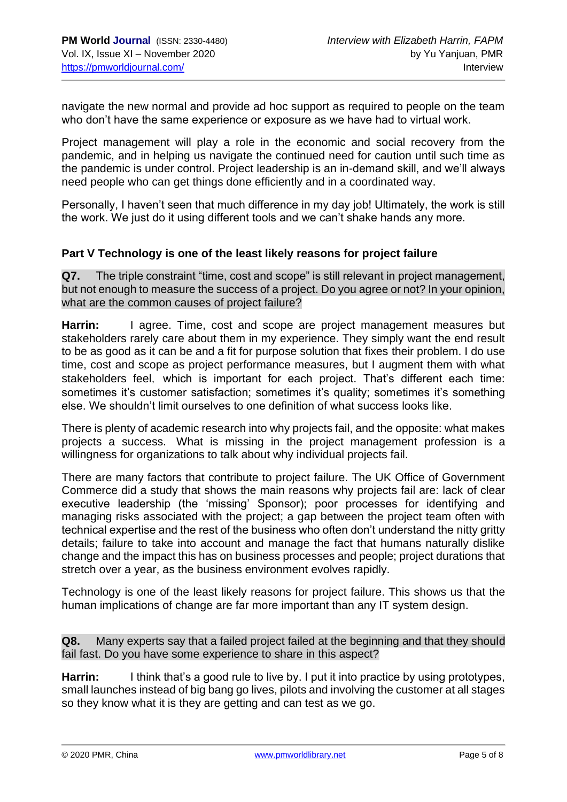navigate the new normal and provide ad hoc support as required to people on the team who don't have the same experience or exposure as we have had to virtual work.

Project management will play a role in the economic and social recovery from the pandemic, and in helping us navigate the continued need for caution until such time as the pandemic is under control. Project leadership is an in-demand skill, and we'll always need people who can get things done efficiently and in a coordinated way.

Personally, I haven't seen that much difference in my day job! Ultimately, the work is still the work. We just do it using different tools and we can't shake hands any more.

# **Part V Technology is one of the least likely reasons for project failure**

**Q7.** The triple constraint "time, cost and scope" is still relevant in project management, but not enough to measure the success of a project. Do you agree or not? In your opinion, what are the common causes of project failure?

**Harrin:** I agree. Time, cost and scope are project management measures but stakeholders rarely care about them in my experience. They simply want the end result to be as good as it can be and a fit for purpose solution that fixes their problem. I do use time, cost and scope as project performance measures, but I augment them with what stakeholders feel, which is important for each project. That's different each time: sometimes it's customer satisfaction; sometimes it's quality; sometimes it's something else. We shouldn't limit ourselves to one definition of what success looks like.

There is plenty of academic research into why projects fail, and the opposite: what makes projects a success. What is missing in the project management profession is a willingness for organizations to talk about why individual projects fail.

There are many factors that contribute to project failure. The UK Office of Government Commerce did a study that shows the main reasons why projects fail are: lack of clear executive leadership (the 'missing' Sponsor); poor processes for identifying and managing risks associated with the project; a gap between the project team often with technical expertise and the rest of the business who often don't understand the nitty gritty details; failure to take into account and manage the fact that humans naturally dislike change and the impact this has on business processes and people; project durations that stretch over a year, as the business environment evolves rapidly.

Technology is one of the least likely reasons for project failure. This shows us that the human implications of change are far more important than any IT system design.

**Q8.** Many experts say that a failed project failed at the beginning and that they should fail fast. Do you have some experience to share in this aspect?

**Harrin:** I think that's a good rule to live by. I put it into practice by using prototypes, small launches instead of big bang go lives, pilots and involving the customer at all stages so they know what it is they are getting and can test as we go.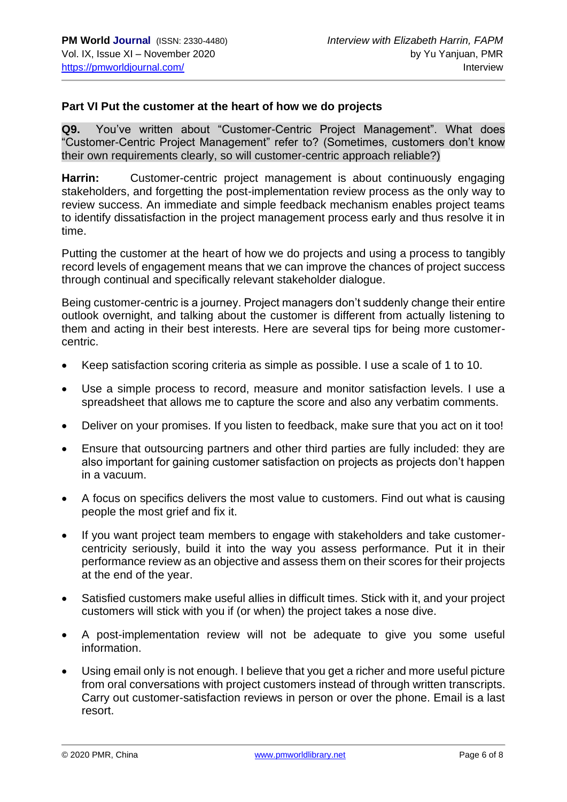### **Part VI Put the customer at the heart of how we do projects**

**Q9.** You've written about "Customer-Centric Project Management". What does "Customer-Centric Project Management" refer to? (Sometimes, customers don't know their own requirements clearly, so will customer-centric approach reliable?)

**Harrin:** Customer-centric project management is about continuously engaging stakeholders, and forgetting the post-implementation review process as the only way to review success. An immediate and simple feedback mechanism enables project teams to identify dissatisfaction in the project management process early and thus resolve it in time.

Putting the customer at the heart of how we do projects and using a process to tangibly record levels of engagement means that we can improve the chances of project success through continual and specifically relevant stakeholder dialogue.

Being customer-centric is a journey. Project managers don't suddenly change their entire outlook overnight, and talking about the customer is different from actually listening to them and acting in their best interests. Here are several tips for being more customercentric.

- Keep satisfaction scoring criteria as simple as possible. I use a scale of 1 to 10.
- Use a simple process to record, measure and monitor satisfaction levels. I use a spreadsheet that allows me to capture the score and also any verbatim comments.
- Deliver on your promises. If you listen to feedback, make sure that you act on it too!
- Ensure that outsourcing partners and other third parties are fully included: they are also important for gaining customer satisfaction on projects as projects don't happen in a vacuum.
- A focus on specifics delivers the most value to customers. Find out what is causing people the most grief and fix it.
- If you want project team members to engage with stakeholders and take customercentricity seriously, build it into the way you assess performance. Put it in their performance review as an objective and assess them on their scores for their projects at the end of the year.
- Satisfied customers make useful allies in difficult times. Stick with it, and your project customers will stick with you if (or when) the project takes a nose dive.
- A post-implementation review will not be adequate to give you some useful information.
- Using email only is not enough. I believe that you get a richer and more useful picture from oral conversations with project customers instead of through written transcripts. Carry out customer-satisfaction reviews in person or over the phone. Email is a last resort.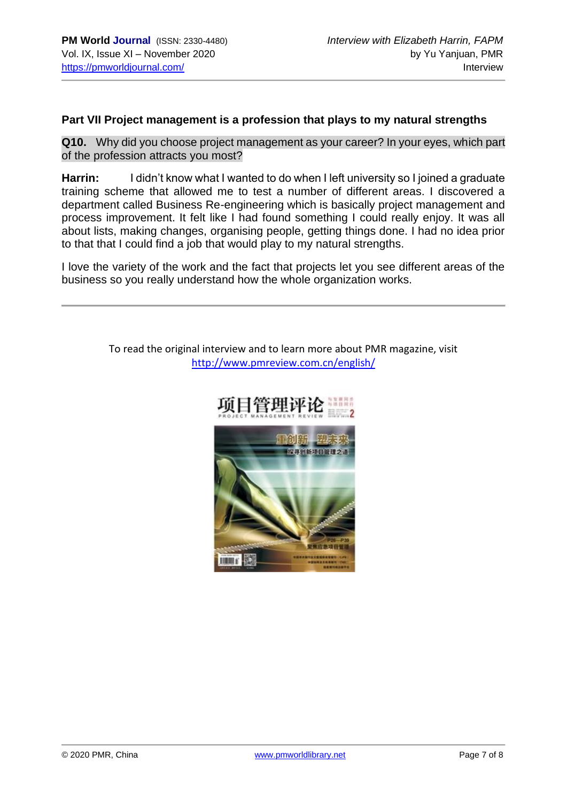### **Part VII Project management is a profession that plays to my natural strengths**

**Q10.** Why did you choose project management as your career? In your eyes, which part of the profession attracts you most?

**Harrin:** I didn't know what I wanted to do when I left university so I joined a graduate training scheme that allowed me to test a number of different areas. I discovered a department called Business Re-engineering which is basically project management and process improvement. It felt like I had found something I could really enjoy. It was all about lists, making changes, organising people, getting things done. I had no idea prior to that that I could find a job that would play to my natural strengths.

I love the variety of the work and the fact that projects let you see different areas of the business so you really understand how the whole organization works.

> To read the original interview and to learn more about PMR magazine, visit <http://www.pmreview.com.cn/english/>